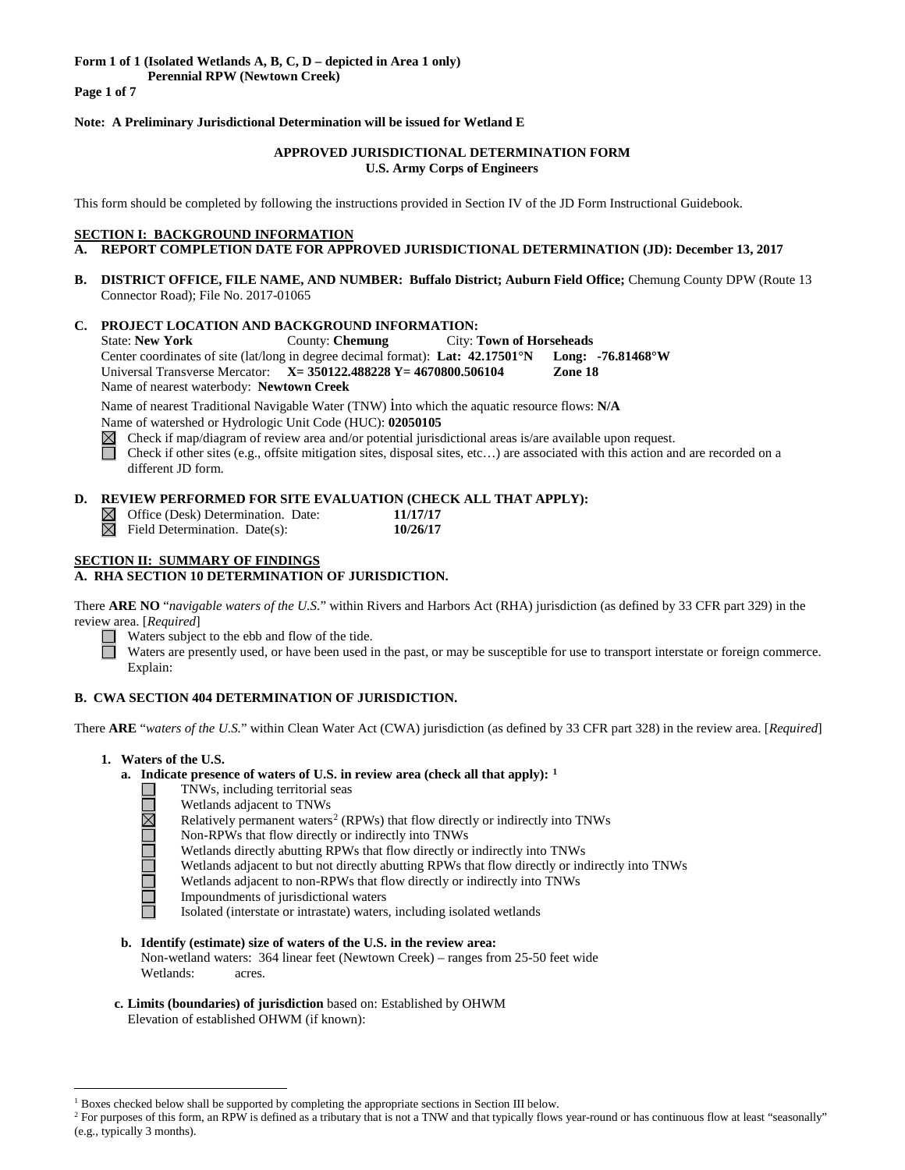**Perennial RPW (Newtown Creek)**

**Page 1 of 7**

# **Note: A Preliminary Jurisdictional Determination will be issued for Wetland E**

### **APPROVED JURISDICTIONAL DETERMINATION FORM U.S. Army Corps of Engineers**

This form should be completed by following the instructions provided in Section IV of the JD Form Instructional Guidebook.

#### **SECTION I: BACKGROUND INFORMATION**

- **A. REPORT COMPLETION DATE FOR APPROVED JURISDICTIONAL DETERMINATION (JD): December 13, 2017**
- **B. DISTRICT OFFICE, FILE NAME, AND NUMBER: Buffalo District; Auburn Field Office;** Chemung County DPW (Route 13 Connector Road); File No. 2017-01065

# **C. PROJECT LOCATION AND BACKGROUND INFORMATION:**

State: **New York** County: **Chemung** City: **Town of Horseheads** Center coordinates of site (lat/long in degree decimal format): **Lat: 42.17501°N Long: -76.81468°W** Universal Transverse Mercator: **X= 350122.488228 Y= 4670800.506104 Zone 18** Name of nearest waterbody: **Newtown Creek**

Name of nearest Traditional Navigable Water (TNW) into which the aquatic resource flows: **N/A** Name of watershed or Hydrologic Unit Code (HUC): **02050105**

 $\boxtimes$  Check if map/diagram of review area and/or potential jurisdictional areas is/are available upon request.

П Check if other sites (e.g., offsite mitigation sites, disposal sites, etc…) are associated with this action and are recorded on a different JD form.

# **D. REVIEW PERFORMED FOR SITE EVALUATION (CHECK ALL THAT APPLY):**

| $\trianglelefteq$ Office (Desk) Determination. Date: | 11/17/17 |
|------------------------------------------------------|----------|
| $\overline{\times}$ Field Determination. Date(s):    | 10/26/17 |

# **SECTION II: SUMMARY OF FINDINGS**

# **A. RHA SECTION 10 DETERMINATION OF JURISDICTION.**

There **ARE NO** "*navigable waters of the U.S.*" within Rivers and Harbors Act (RHA) jurisdiction (as defined by 33 CFR part 329) in the review area. [*Required*]

Waters subject to the ebb and flow of the tide.

Waters are presently used, or have been used in the past, or may be susceptible for use to transport interstate or foreign commerce. Explain:

#### **B. CWA SECTION 404 DETERMINATION OF JURISDICTION.**

There **ARE** "*waters of the U.S.*" within Clean Water Act (CWA) jurisdiction (as defined by 33 CFR part 328) in the review area. [*Required*]

# **1. Waters of the U.S.**

#### **a. Indicate presence of waters of U.S. in review area (check all that apply): [1](#page-0-0)**

- TNWs, including territorial seas
	- Wetlands adjacent to TNWs
- **HONOLINE** Relatively permanent waters<sup>[2](#page-0-1)</sup> (RPWs) that flow directly or indirectly into TNWs
	- Non-RPWs that flow directly or indirectly into TNWs
	- Wetlands directly abutting RPWs that flow directly or indirectly into TNWs
	- Wetlands adjacent to but not directly abutting RPWs that flow directly or indirectly into TNWs
	- Wetlands adjacent to non-RPWs that flow directly or indirectly into TNWs
	- Impoundments of jurisdictional waters
		- Isolated (interstate or intrastate) waters, including isolated wetlands
- **b. Identify (estimate) size of waters of the U.S. in the review area:** Non-wetland waters: 364 linear feet (Newtown Creek) – ranges from 25-50 feet wide Wetlands: acres.
- **c. Limits (boundaries) of jurisdiction** based on: Established by OHWM Elevation of established OHWM (if known):

 $<sup>1</sup>$  Boxes checked below shall be supported by completing the appropriate sections in Section III below.</sup>

<span id="page-0-1"></span><span id="page-0-0"></span><sup>&</sup>lt;sup>2</sup> For purposes of this form, an RPW is defined as a tributary that is not a TNW and that typically flows year-round or has continuous flow at least "seasonally" (e.g., typically 3 months).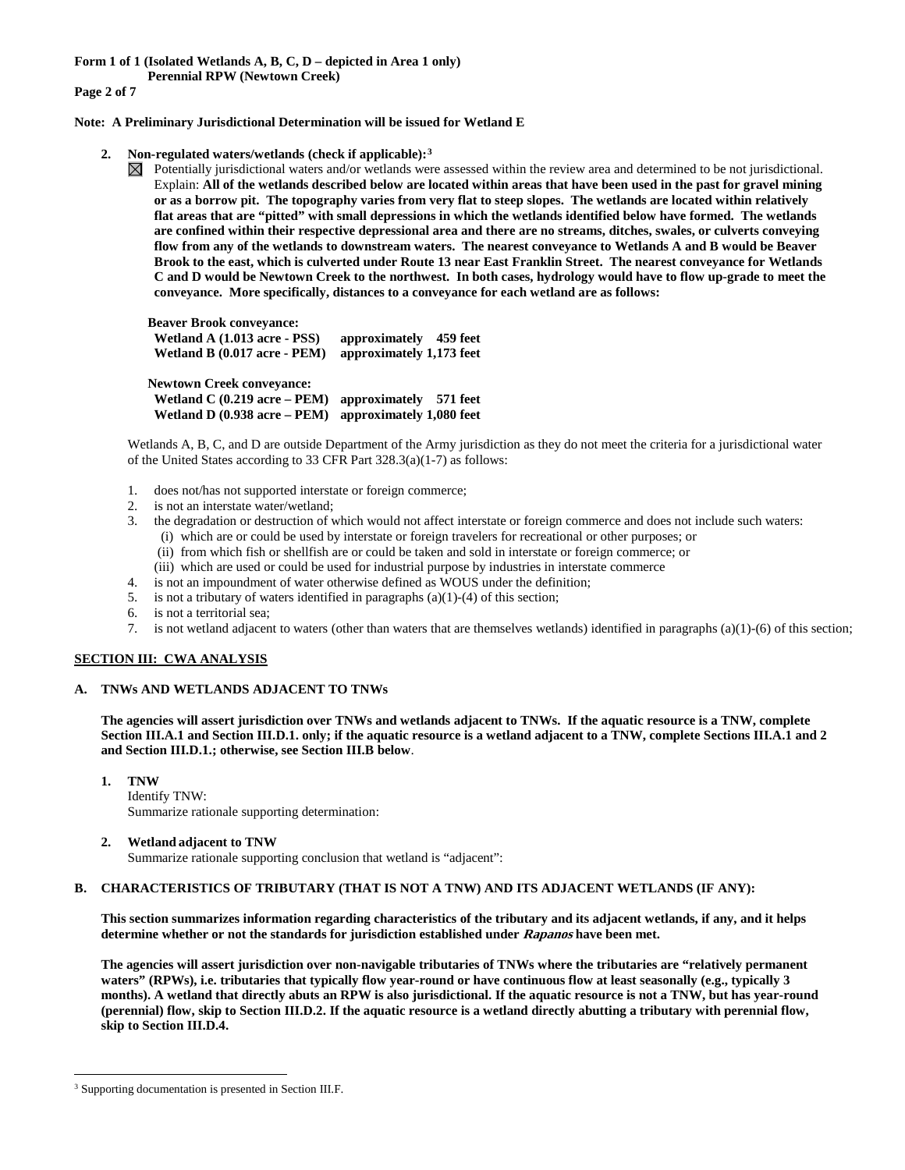**Form 1 of 1 (Isolated Wetlands A, B, C, D – depicted in Area 1 only)**

**Perennial RPW (Newtown Creek)** 

**Page 2 of 7**

**Note: A Preliminary Jurisdictional Determination will be issued for Wetland E** 

- **2. Non-regulated waters/wetlands (check if applicable):[3](#page-1-0)**
	- Potentially jurisdictional waters and/or wetlands were assessed within the review area and determined to be not jurisdictional. Explain: **All of the wetlands described below are located within areas that have been used in the past for gravel mining or as a borrow pit. The topography varies from very flat to steep slopes. The wetlands are located within relatively flat areas that are "pitted" with small depressions in which the wetlands identified below have formed. The wetlands are confined within their respective depressional area and there are no streams, ditches, swales, or culverts conveying flow from any of the wetlands to downstream waters. The nearest conveyance to Wetlands A and B would be Beaver Brook to the east, which is culverted under Route 13 near East Franklin Street. The nearest conveyance for Wetlands C and D would be Newtown Creek to the northwest. In both cases, hydrology would have to flow up-grade to meet the conveyance. More specifically, distances to a conveyance for each wetland are as follows:**

**Beaver Brook conveyance: Wetland A (1.013 acre - PSS) approximately 459 feet Wetland B (0.017 acre - PEM) approximately 1,173 feet Newtown Creek conveyance: Wetland C (0.219 acre – PEM) approximately 571 feet Wetland D (0.938 acre – PEM) approximately 1,080 feet**

Wetlands A, B, C, and D are outside Department of the Army jurisdiction as they do not meet the criteria for a jurisdictional water of the United States according to 33 CFR Part 328.3(a)(1-7) as follows:

- 1. does not/has not supported interstate or foreign commerce;
- 2. is not an interstate water/wetland;
- 3. the degradation or destruction of which would not affect interstate or foreign commerce and does not include such waters:
	- (i) which are or could be used by interstate or foreign travelers for recreational or other purposes; or
	- (ii) from which fish or shellfish are or could be taken and sold in interstate or foreign commerce; or
	- (iii) which are used or could be used for industrial purpose by industries in interstate commerce
- 4. is not an impoundment of water otherwise defined as WOUS under the definition;
- 5. is not a tributary of waters identified in paragraphs (a)(1)-(4) of this section;
- 6. is not a territorial sea;
- 7. is not wetland adjacent to waters (other than waters that are themselves wetlands) identified in paragraphs (a)(1)-(6) of this section;

### **SECTION III: CWA ANALYSIS**

#### **A. TNWs AND WETLANDS ADJACENT TO TNWs**

**The agencies will assert jurisdiction over TNWs and wetlands adjacent to TNWs. If the aquatic resource is a TNW, complete Section III.A.1 and Section III.D.1. only; if the aquatic resource is a wetland adjacent to a TNW, complete Sections III.A.1 and 2 and Section III.D.1.; otherwise, see Section III.B below**.

**1. TNW**  Identify TNW: Summarize rationale supporting determination:

#### **2. Wetland adjacent to TNW**

Summarize rationale supporting conclusion that wetland is "adjacent":

#### **B. CHARACTERISTICS OF TRIBUTARY (THAT IS NOT A TNW) AND ITS ADJACENT WETLANDS (IF ANY):**

**This section summarizes information regarding characteristics of the tributary and its adjacent wetlands, if any, and it helps determine whether or not the standards for jurisdiction established under Rapanos have been met.** 

**The agencies will assert jurisdiction over non-navigable tributaries of TNWs where the tributaries are "relatively permanent waters" (RPWs), i.e. tributaries that typically flow year-round or have continuous flow at least seasonally (e.g., typically 3 months). A wetland that directly abuts an RPW is also jurisdictional. If the aquatic resource is not a TNW, but has year-round (perennial) flow, skip to Section III.D.2. If the aquatic resource is a wetland directly abutting a tributary with perennial flow, skip to Section III.D.4.**

<span id="page-1-0"></span><sup>&</sup>lt;sup>3</sup> Supporting documentation is presented in Section III.F.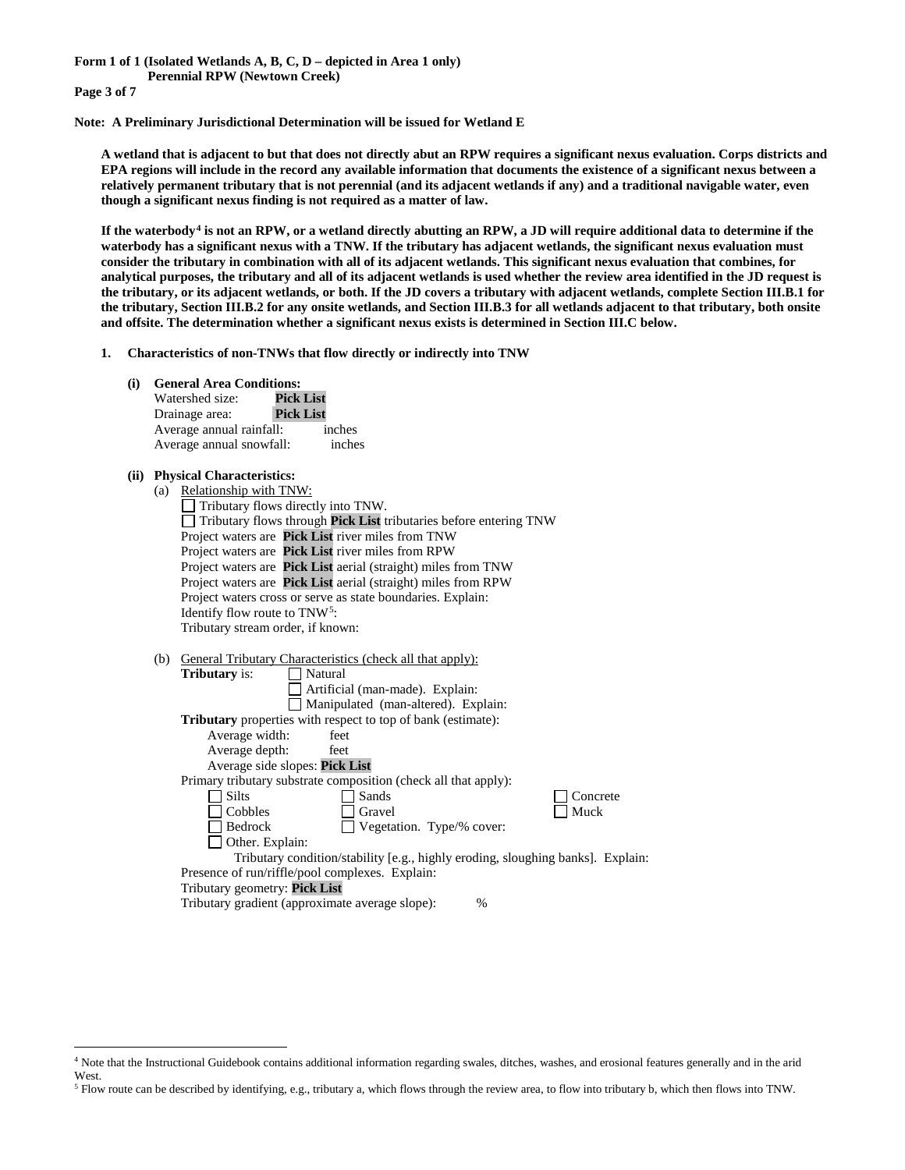**Page 3 of 7**

**Note: A Preliminary Jurisdictional Determination will be issued for Wetland E** 

**A wetland that is adjacent to but that does not directly abut an RPW requires a significant nexus evaluation. Corps districts and EPA regions will include in the record any available information that documents the existence of a significant nexus between a relatively permanent tributary that is not perennial (and its adjacent wetlands if any) and a traditional navigable water, even though a significant nexus finding is not required as a matter of law.**

**If the waterbody[4](#page-2-0) is not an RPW, or a wetland directly abutting an RPW, a JD will require additional data to determine if the waterbody has a significant nexus with a TNW. If the tributary has adjacent wetlands, the significant nexus evaluation must consider the tributary in combination with all of its adjacent wetlands. This significant nexus evaluation that combines, for analytical purposes, the tributary and all of its adjacent wetlands is used whether the review area identified in the JD request is the tributary, or its adjacent wetlands, or both. If the JD covers a tributary with adjacent wetlands, complete Section III.B.1 for the tributary, Section III.B.2 for any onsite wetlands, and Section III.B.3 for all wetlands adjacent to that tributary, both onsite and offsite. The determination whether a significant nexus exists is determined in Section III.C below.**

**1. Characteristics of non-TNWs that flow directly or indirectly into TNW**

| (i)  |     | <b>General Area Conditions:</b>                                                                    |
|------|-----|----------------------------------------------------------------------------------------------------|
|      |     | Watershed size:<br><b>Pick List</b>                                                                |
|      |     | <b>Pick List</b><br>Drainage area:                                                                 |
|      |     | Average annual rainfall:<br>inches                                                                 |
|      |     | Average annual snowfall:<br>inches                                                                 |
| (ii) |     | <b>Physical Characteristics:</b>                                                                   |
|      | (a) | Relationship with TNW:                                                                             |
|      |     | Tributary flows directly into TNW.                                                                 |
|      |     | Tributary flows through Pick List tributaries before entering TNW                                  |
|      |     | Project waters are Pick List river miles from TNW                                                  |
|      |     | Project waters are Pick List river miles from RPW                                                  |
|      |     | Project waters are Pick List aerial (straight) miles from TNW                                      |
|      |     | Project waters are Pick List aerial (straight) miles from RPW                                      |
|      |     | Project waters cross or serve as state boundaries. Explain:                                        |
|      |     | Identify flow route to TNW <sup>5</sup> :                                                          |
|      |     | Tributary stream order, if known:                                                                  |
|      |     |                                                                                                    |
|      | (b) | General Tributary Characteristics (check all that apply):                                          |
|      |     | <b>Tributary</b> is:<br>Natural                                                                    |
|      |     | Artificial (man-made). Explain:                                                                    |
|      |     | Manipulated (man-altered). Explain:                                                                |
|      |     | <b>Tributary</b> properties with respect to top of bank (estimate):                                |
|      |     | Average width:<br>feet                                                                             |
|      |     | Average depth:<br>feet                                                                             |
|      |     | Average side slopes: Pick List                                                                     |
|      |     | Primary tributary substrate composition (check all that apply):                                    |
|      |     | $\sqsupset$ Silts<br>Sands<br>Concrete<br>Muck<br>Gravel                                           |
|      |     | Cobbles<br>Bedrock                                                                                 |
|      |     | Vegetation. Type/% cover:                                                                          |
|      |     | Other. Explain:<br>Tributary condition/stability [e.g., highly eroding, sloughing banks]. Explain: |
|      |     | Presence of run/riffle/pool complexes. Explain:                                                    |
|      |     | Tributary geometry: Pick List                                                                      |
|      |     | Tributary gradient (approximate average slope):<br>%                                               |
|      |     |                                                                                                    |

<span id="page-2-1"></span><sup>5</sup> Flow route can be described by identifying, e.g., tributary a, which flows through the review area, to flow into tributary b, which then flows into TNW.

<span id="page-2-0"></span> <sup>4</sup> Note that the Instructional Guidebook contains additional information regarding swales, ditches, washes, and erosional features generally and in the arid West.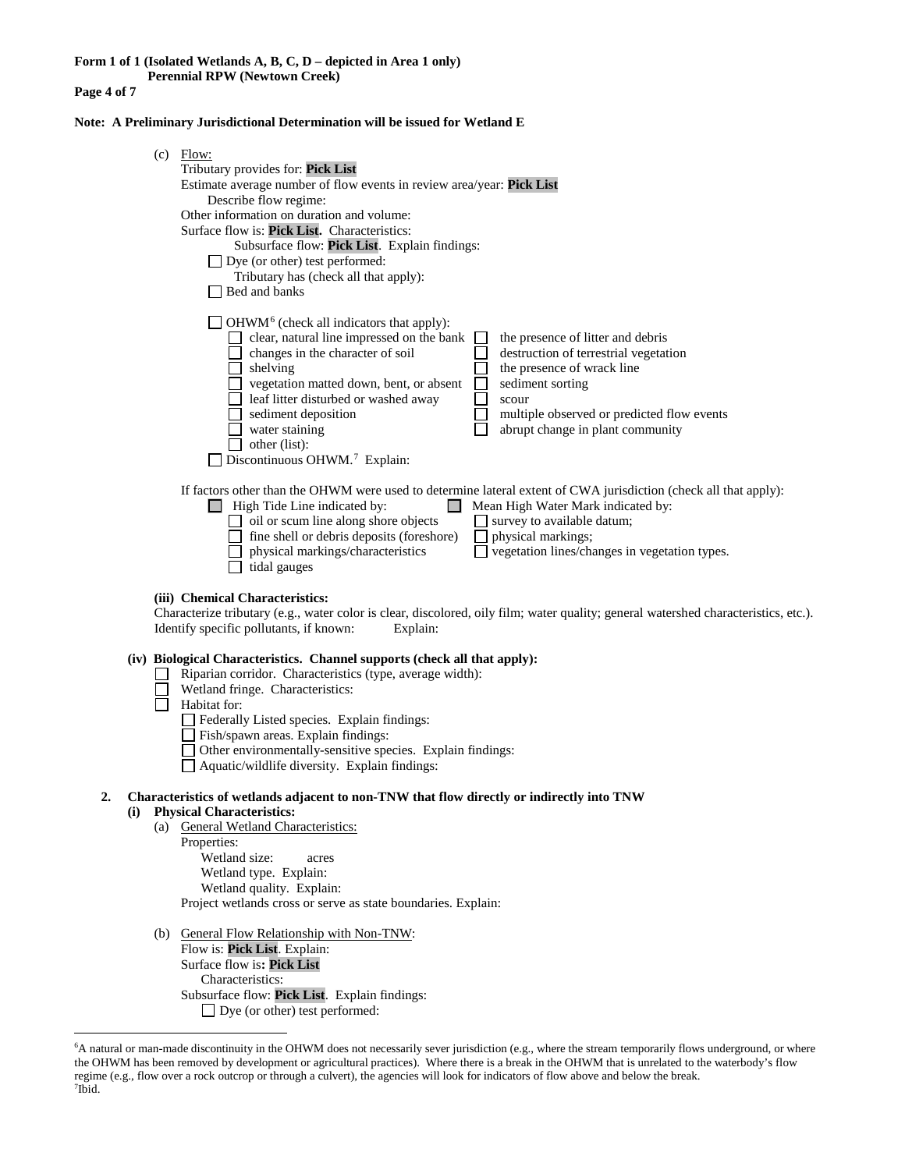**Page 4 of 7**

**Note: A Preliminary Jurisdictional Determination will be issued for Wetland E** 

|     | $(c)$ Flow:<br>Tributary provides for: Pick List<br>Estimate average number of flow events in review area/year: Pick List<br>Describe flow regime:<br>Other information on duration and volume:<br>Surface flow is: Pick List. Characteristics:<br>Subsurface flow: Pick List. Explain findings:<br>$\Box$ Dye (or other) test performed:<br>Tributary has (check all that apply):<br>$\Box$ Bed and banks                                                                                                                                                                                                   |
|-----|--------------------------------------------------------------------------------------------------------------------------------------------------------------------------------------------------------------------------------------------------------------------------------------------------------------------------------------------------------------------------------------------------------------------------------------------------------------------------------------------------------------------------------------------------------------------------------------------------------------|
|     | $\Box$ OHWM <sup>6</sup> (check all indicators that apply):<br>$\Box$ clear, natural line impressed on the bank<br>the presence of litter and debris<br>changes in the character of soil<br>destruction of terrestrial vegetation<br>the presence of wrack line<br>$\Box$ shelving<br>vegetation matted down, bent, or absent<br>sediment sorting<br>$\Box$<br>leaf litter disturbed or washed away<br>scour<br>sediment deposition<br>multiple observed or predicted flow events<br>water staining<br>abrupt change in plant community<br>$\Box$ other (list):<br>Discontinuous OHWM. <sup>7</sup> Explain: |
|     | If factors other than the OHWM were used to determine lateral extent of CWA jurisdiction (check all that apply):<br>$\Box$ High Tide Line indicated by:<br>Mean High Water Mark indicated by:<br>$\Box$ oil or scum line along shore objects<br>survey to available datum;<br>$\Box$ fine shell or debris deposits (foreshore)<br>physical markings;<br>physical markings/characteristics<br>vegetation lines/changes in vegetation types.<br>tidal gauges                                                                                                                                                   |
|     | (iii) Chemical Characteristics:<br>Characterize tributary (e.g., water color is clear, discolored, oily film; water quality; general watershed characteristics, etc.).<br>Identify specific pollutants, if known:<br>Explain:                                                                                                                                                                                                                                                                                                                                                                                |
|     | (iv) Biological Characteristics. Channel supports (check all that apply):<br>Riparian corridor. Characteristics (type, average width):<br>Wetland fringe. Characteristics:<br>Habitat for:<br>Federally Listed species. Explain findings:<br>Fish/spawn areas. Explain findings:<br>Other environmentally-sensitive species. Explain findings:<br>Aquatic/wildlife diversity. Explain findings:                                                                                                                                                                                                              |
| (i) | Characteristics of wetlands adjacent to non-TNW that flow directly or indirectly into TNW<br><b>Physical Characteristics:</b><br>(a) General Wetland Characteristics:<br>Properties:<br>Wetland size:<br>acres<br>Wetland type. Explain:<br>Wetland quality. Explain:<br>Project wetlands cross or serve as state boundaries. Explain:                                                                                                                                                                                                                                                                       |
|     | (b) General Flow Relationship with Non-TNW:<br>Flow is: Pick List. Explain:<br>Surface flow is: Pick List                                                                                                                                                                                                                                                                                                                                                                                                                                                                                                    |

Surface flow is**: Pick List**  Characteristics: Subsurface flow: **Pick List**. Explain findings: □ Dye (or other) test performed:

<span id="page-3-1"></span><span id="page-3-0"></span> <sup>6</sup> <sup>6</sup>A natural or man-made discontinuity in the OHWM does not necessarily sever jurisdiction (e.g., where the stream temporarily flows underground, or where the OHWM has been removed by development or agricultural practices). Where there is a break in the OHWM that is unrelated to the waterbody's flow regime (e.g., flow over a rock outcrop or through a culvert), the agencies will look for indicators of flow above and below the break. 7 Ibid.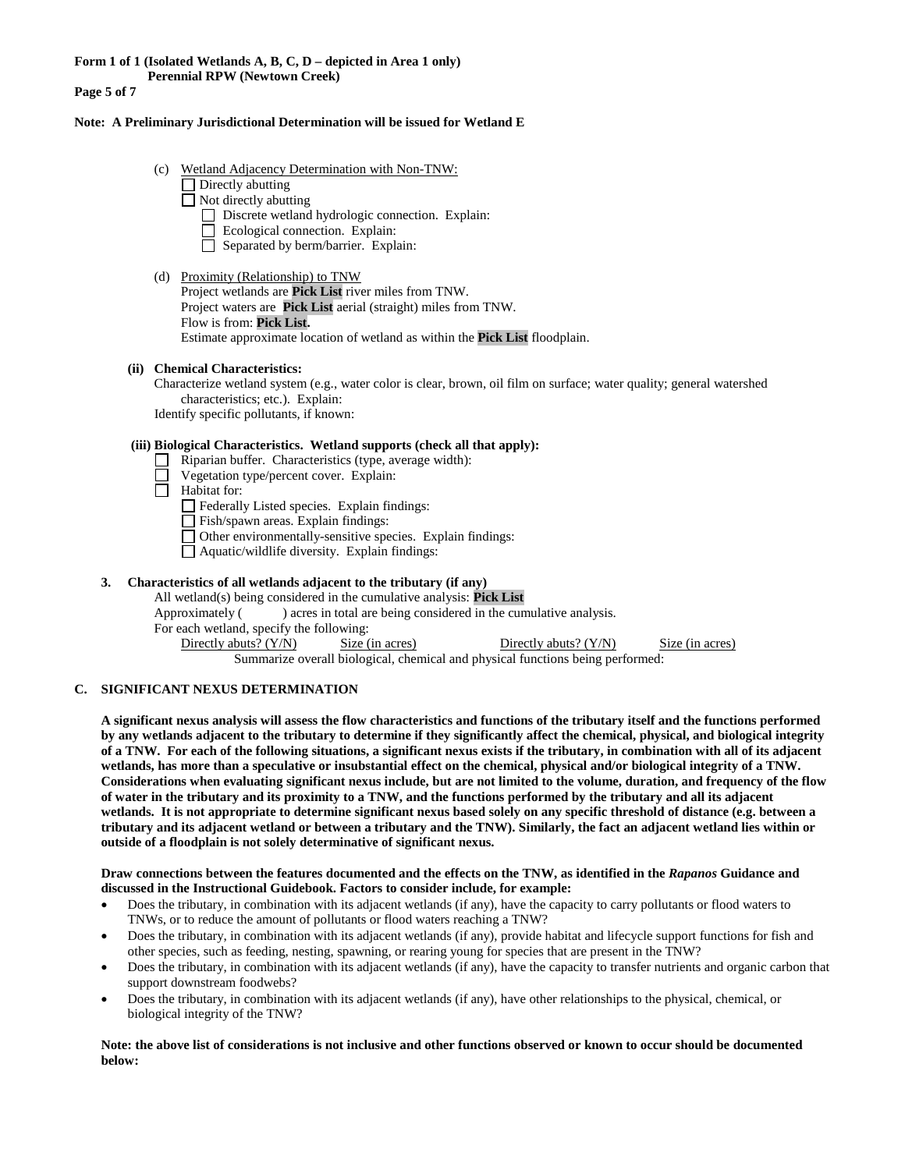**Page 5 of 7**

#### **Note: A Preliminary Jurisdictional Determination will be issued for Wetland E**

- (c) Wetland Adjacency Determination with Non-TNW:
	- Directly abutting
	- $\Box$  Not directly abutting
		- Discrete wetland hydrologic connection. Explain:
		- $\Box$  Ecological connection. Explain:
		- $\Box$  Separated by berm/barrier. Explain:
- (d) Proximity (Relationship) to TNW
	- Project wetlands are **Pick List** river miles from TNW. Project waters are **Pick List** aerial (straight) miles from TNW. Flow is from: **Pick List.** Estimate approximate location of wetland as within the **Pick List** floodplain.

#### **(ii) Chemical Characteristics:**

Characterize wetland system (e.g., water color is clear, brown, oil film on surface; water quality; general watershed characteristics; etc.). Explain:

Identify specific pollutants, if known:

# **(iii) Biological Characteristics. Wetland supports (check all that apply):**

- Riparian buffer. Characteristics (type, average width):
- Vegetation type/percent cover. Explain:
- ñ Habitat for:

Federally Listed species. Explain findings:

- Fish/spawn areas. Explain findings:
- Other environmentally-sensitive species. Explain findings:
- Aquatic/wildlife diversity. Explain findings:

#### **3. Characteristics of all wetlands adjacent to the tributary (if any)**

All wetland(s) being considered in the cumulative analysis: **Pick List** Approximately () acres in total are being considered in the cumulative analysis. For each wetland, specify the following: Directly abuts? (Y/N) Size (in acres) Directly abuts? (Y/N) Size (in acres) Summarize overall biological, chemical and physical functions being performed:

#### **C. SIGNIFICANT NEXUS DETERMINATION**

**A significant nexus analysis will assess the flow characteristics and functions of the tributary itself and the functions performed by any wetlands adjacent to the tributary to determine if they significantly affect the chemical, physical, and biological integrity of a TNW. For each of the following situations, a significant nexus exists if the tributary, in combination with all of its adjacent wetlands, has more than a speculative or insubstantial effect on the chemical, physical and/or biological integrity of a TNW. Considerations when evaluating significant nexus include, but are not limited to the volume, duration, and frequency of the flow of water in the tributary and its proximity to a TNW, and the functions performed by the tributary and all its adjacent wetlands. It is not appropriate to determine significant nexus based solely on any specific threshold of distance (e.g. between a tributary and its adjacent wetland or between a tributary and the TNW). Similarly, the fact an adjacent wetland lies within or outside of a floodplain is not solely determinative of significant nexus.** 

#### **Draw connections between the features documented and the effects on the TNW, as identified in the** *Rapanos* **Guidance and discussed in the Instructional Guidebook. Factors to consider include, for example:**

- Does the tributary, in combination with its adjacent wetlands (if any), have the capacity to carry pollutants or flood waters to TNWs, or to reduce the amount of pollutants or flood waters reaching a TNW?
- Does the tributary, in combination with its adjacent wetlands (if any), provide habitat and lifecycle support functions for fish and other species, such as feeding, nesting, spawning, or rearing young for species that are present in the TNW?
- Does the tributary, in combination with its adjacent wetlands (if any), have the capacity to transfer nutrients and organic carbon that support downstream foodwebs?
- Does the tributary, in combination with its adjacent wetlands (if any), have other relationships to the physical, chemical, or biological integrity of the TNW?

**Note: the above list of considerations is not inclusive and other functions observed or known to occur should be documented below:**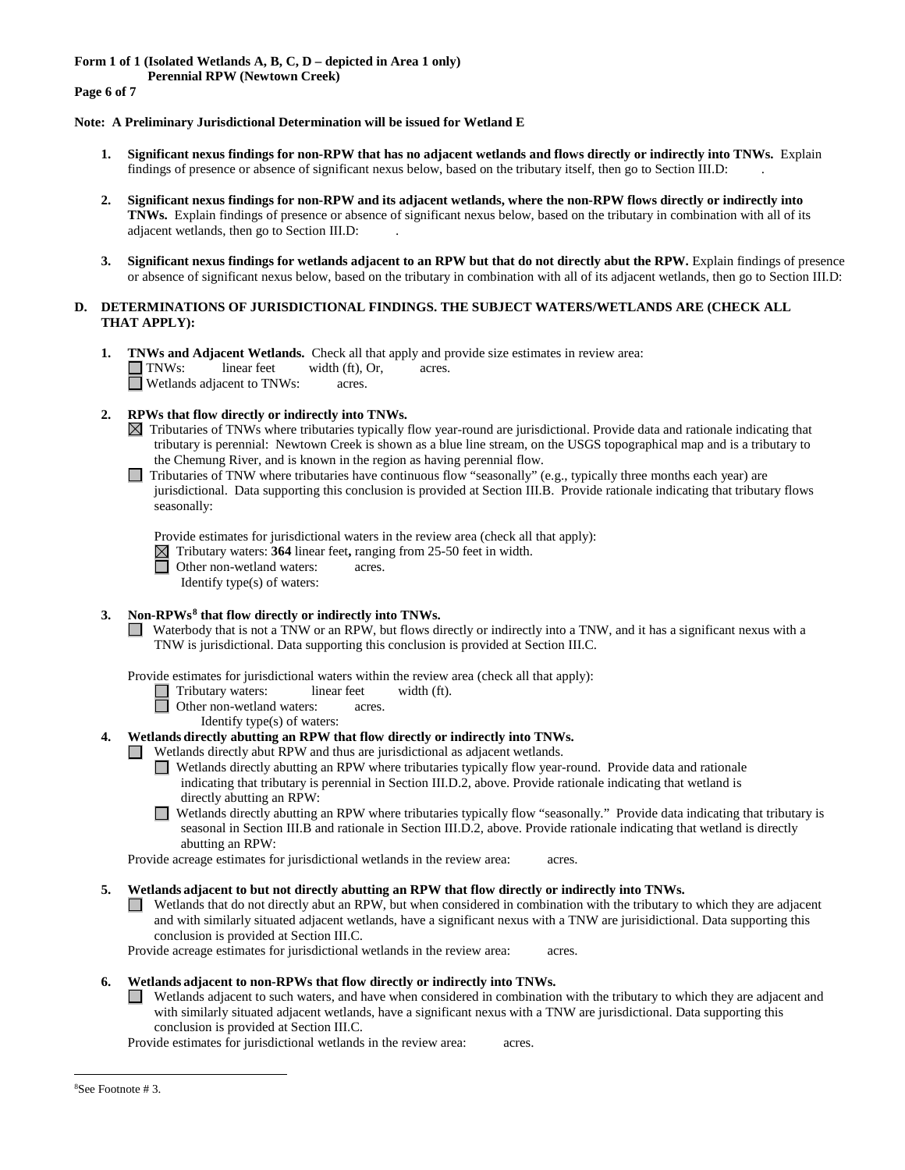**Form 1 of 1 (Isolated Wetlands A, B, C, D – depicted in Area 1 only)**

**Perennial RPW (Newtown Creek)** 

**Page 6 of 7**

# **Note: A Preliminary Jurisdictional Determination will be issued for Wetland E**

- **1. Significant nexus findings for non-RPW that has no adjacent wetlands and flows directly or indirectly into TNWs.** Explain findings of presence or absence of significant nexus below, based on the tributary itself, then go to Section III.D: .
- **2. Significant nexus findings for non-RPW and its adjacent wetlands, where the non-RPW flows directly or indirectly into TNWs.** Explain findings of presence or absence of significant nexus below, based on the tributary in combination with all of its adjacent wetlands, then go to Section III.D: .
- **3. Significant nexus findings for wetlands adjacent to an RPW but that do not directly abut the RPW.** Explain findings of presence or absence of significant nexus below, based on the tributary in combination with all of its adjacent wetlands, then go to Section III.D:

# **D. DETERMINATIONS OF JURISDICTIONAL FINDINGS. THE SUBJECT WATERS/WETLANDS ARE (CHECK ALL THAT APPLY):**

- **1. TNWs and Adjacent Wetlands.** Check all that apply and provide size estimates in review area:<br>
TNWs: linear feet width (ft), Or, acres. TNWs: linear feet width (ft), Or, acres. Wetlands adjacent to TNWs: acres.
- **2. RPWs that flow directly or indirectly into TNWs.**
	- $\boxtimes$  Tributaries of TNWs where tributaries typically flow year-round are jurisdictional. Provide data and rationale indicating that tributary is perennial: Newtown Creek is shown as a blue line stream, on the USGS topographical map and is a tributary to the Chemung River, and is known in the region as having perennial flow.
	- Tributaries of TNW where tributaries have continuous flow "seasonally" (e.g., typically three months each year) are jurisdictional. Data supporting this conclusion is provided at Section III.B. Provide rationale indicating that tributary flows seasonally:

Provide estimates for jurisdictional waters in the review area (check all that apply):

Tributary waters: **364** linear feet**,** ranging from 25-50 feet in width.

Other non-wetland waters: acres.

Identify type(s) of waters:

#### **3. Non-RPWs[8](#page-5-0) that flow directly or indirectly into TNWs.**

Waterbody that is not a TNW or an RPW, but flows directly or indirectly into a TNW, and it has a significant nexus with a TNW is jurisdictional. Data supporting this conclusion is provided at Section III.C.

Provide estimates for jurisdictional waters within the review area (check all that apply):

Tributary waters: linear feet width (ft).<br>
Other non-wetland waters: acres.

Other non-wetland waters: acres.

Identify type(s) of waters:

- **4. Wetlands directly abutting an RPW that flow directly or indirectly into TNWs.** 
	- Wetlands directly abut RPW and thus are jurisdictional as adjacent wetlands.
		- Wetlands directly abutting an RPW where tributaries typically flow year-round. Provide data and rationale indicating that tributary is perennial in Section III.D.2, above. Provide rationale indicating that wetland is directly abutting an RPW:

Wetlands directly abutting an RPW where tributaries typically flow "seasonally." Provide data indicating that tributary is seasonal in Section III.B and rationale in Section III.D.2, above. Provide rationale indicating that wetland is directly abutting an RPW:

Provide acreage estimates for jurisdictional wetlands in the review area: acres.

**5. Wetlands adjacent to but not directly abutting an RPW that flow directly or indirectly into TNWs.**

Wetlands that do not directly abut an RPW, but when considered in combination with the tributary to which they are adjacent  $\Box$ and with similarly situated adjacent wetlands, have a significant nexus with a TNW are jurisidictional. Data supporting this conclusion is provided at Section III.C.

Provide acreage estimates for jurisdictional wetlands in the review area: acres.

# **6. Wetlands adjacent to non-RPWs that flow directly or indirectly into TNWs.**

 $\Box$ Wetlands adjacent to such waters, and have when considered in combination with the tributary to which they are adjacent and with similarly situated adjacent wetlands, have a significant nexus with a TNW are jurisdictional. Data supporting this conclusion is provided at Section III.C.

<span id="page-5-0"></span>Provide estimates for jurisdictional wetlands in the review area: acres.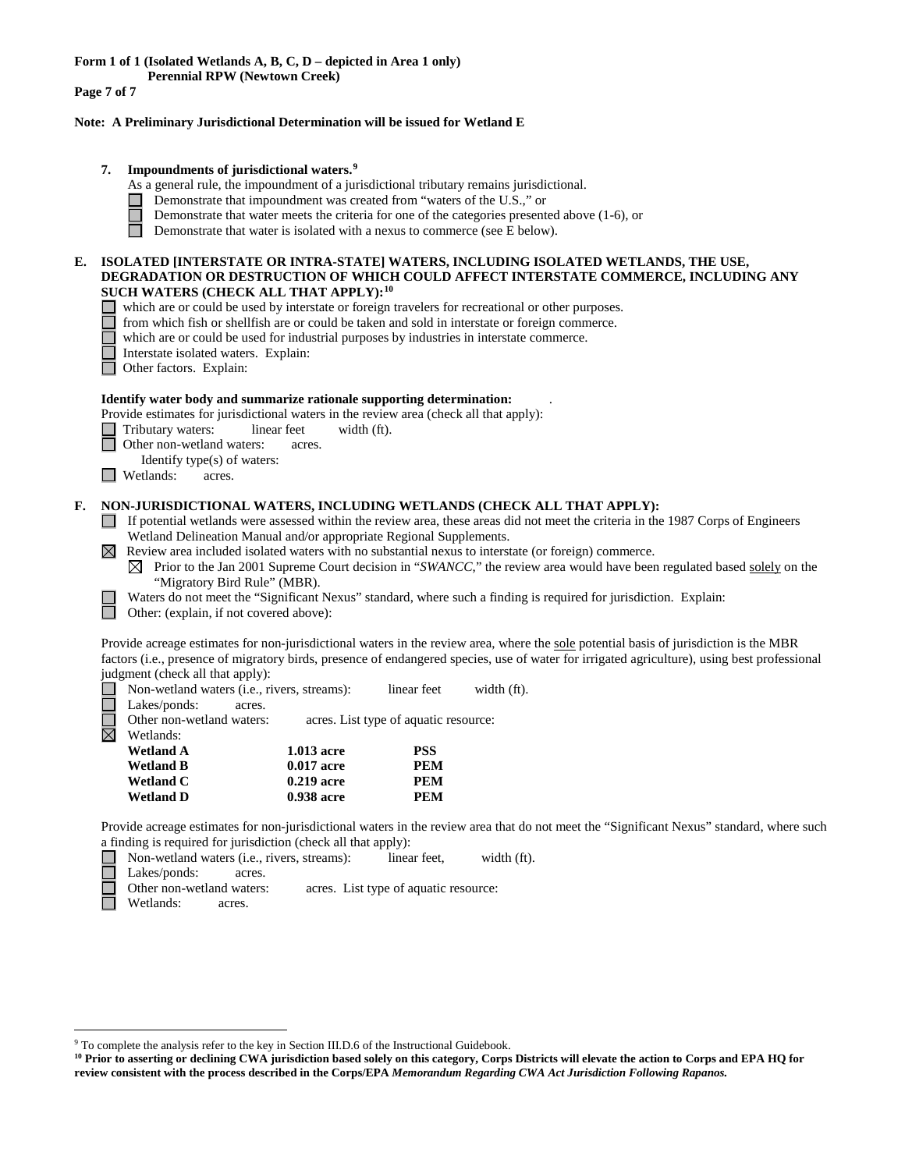**Form 1 of 1 (Isolated Wetlands A, B, C, D – depicted in Area 1 only)**

**Perennial RPW (Newtown Creek)** 

**Page 7 of 7**

# **Note: A Preliminary Jurisdictional Determination will be issued for Wetland E**

# **7. Impoundments of jurisdictional waters. [9](#page-6-0)**

- As a general rule, the impoundment of a jurisdictional tributary remains jurisdictional.
- Demonstrate that impoundment was created from "waters of the U.S.," or
- Demonstrate that water meets the criteria for one of the categories presented above (1-6), or
- П Demonstrate that water is isolated with a nexus to commerce (see E below).

#### **E. ISOLATED [INTERSTATE OR INTRA-STATE] WATERS, INCLUDING ISOLATED WETLANDS, THE USE, DEGRADATION OR DESTRUCTION OF WHICH COULD AFFECT INTERSTATE COMMERCE, INCLUDING ANY SUCH WATERS (CHECK ALL THAT APPLY):[10](#page-6-1)**

which are or could be used by interstate or foreign travelers for recreational or other purposes.

- from which fish or shellfish are or could be taken and sold in interstate or foreign commerce.
- $\Box$ which are or could be used for industrial purposes by industries in interstate commerce.
- Interstate isolated waters.Explain: **Outer factors. Explain:** 
	-

# **Identify water body and summarize rationale supporting determination:** .

Provide estimates for jurisdictional waters in the review area (check all that apply):

- Tributary waters: linear feet width (ft).
- Other non-wetland waters: acres.
- Identify type(s) of waters:
- **I** Wetlands: acres.

#### **F. NON-JURISDICTIONAL WATERS, INCLUDING WETLANDS (CHECK ALL THAT APPLY):**

- If potential wetlands were assessed within the review area, these areas did not meet the criteria in the 1987 Corps of Engineers Wetland Delineation Manual and/or appropriate Regional Supplements.
- $\boxtimes$  Review area included isolated waters with no substantial nexus to interstate (or foreign) commerce.
	- $\boxtimes$  Prior to the Jan 2001 Supreme Court decision in "*SWANCC*," the review area would have been regulated based solely on the "Migratory Bird Rule" (MBR).
	- Waters do not meet the "Significant Nexus" standard, where such a finding is required for jurisdiction. Explain:

Other: (explain, if not covered above):

Provide acreage estimates for non-jurisdictional waters in the review area, where the sole potential basis of jurisdiction is the MBR factors (i.e., presence of migratory birds, presence of endangered species, use of water for irrigated agriculture), using best professional judgment (check all that apply):

 $\Box$ Non-wetland waters (i.e., rivers, streams): linear feet width (ft).

Lakes/ponds: acres.

⊠

Other non-wetland waters: acres. List type of aquatic resource:

| 1.013 acre   | <b>PSS</b> |
|--------------|------------|
| 0.017 acre   | PEM        |
| $0.219$ acre | PEM        |
| 0.938 acre   | PEM        |
|              |            |

Provide acreage estimates for non-jurisdictional waters in the review area that do not meet the "Significant Nexus" standard, where such a finding is required for jurisdiction (check all that apply):

Non-wetland waters (i.e., rivers, streams): linear feet, width (ft).

Lakes/ponds: acres.

Other non-wetland waters: acres. List type of aquatic resource: Wetlands: acres.

<span id="page-6-0"></span> <sup>9</sup> To complete the analysis refer to the key in Section III.D.6 of the Instructional Guidebook.

<span id="page-6-1"></span>**<sup>10</sup> Prior to asserting or declining CWA jurisdiction based solely on this category, Corps Districts will elevate the action to Corps and EPA HQ for review consistent with the process described in the Corps/EPA** *Memorandum Regarding CWA Act Jurisdiction Following Rapanos.*